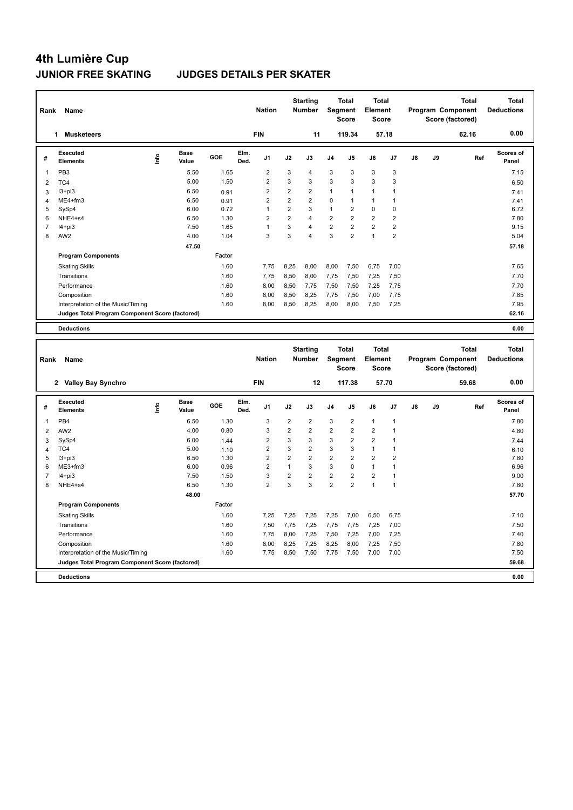### **JUNIOR FREE SKATING JUDGES DETAILS PER SKATER**

| Rank                    | Name                                            |                          |                      |        |              | <b>Nation</b>           |                | <b>Starting</b><br><b>Number</b> | Segment                 | Total<br><b>Score</b> | <b>Total</b><br>Element<br><b>Score</b> |                |    |                   | <b>Total</b><br>Program Component<br>Score (factored) | Total<br><b>Deductions</b> |
|-------------------------|-------------------------------------------------|--------------------------|----------------------|--------|--------------|-------------------------|----------------|----------------------------------|-------------------------|-----------------------|-----------------------------------------|----------------|----|-------------------|-------------------------------------------------------|----------------------------|
|                         | 1 Musketeers                                    |                          |                      |        |              | <b>FIN</b>              |                | 11                               |                         | 119.34                |                                         | 57.18          |    |                   | 62.16                                                 | 0.00                       |
| #                       | <b>Executed</b><br><b>Elements</b>              | lnfo                     | Base<br>Value        | GOE    | Elm.<br>Ded. | J1                      | J2             | J3                               | J4                      | J5                    | J6                                      | J7             | J8 | J9                | Ref                                                   | Scores of<br>Panel         |
| $\mathbf{1}$            | PB <sub>3</sub>                                 |                          | 5.50                 | 1.65   |              | $\boldsymbol{2}$        | 3              | 4                                | 3                       | 3                     | 3                                       | $\mathsf 3$    |    |                   |                                                       | 7.15                       |
| $\overline{2}$          | TC4                                             |                          | 5.00                 | 1.50   |              | $\overline{2}$          | 3              | 3                                | 3                       | 3                     | 3                                       | 3              |    |                   |                                                       | 6.50                       |
| 3                       | $13 + pi3$                                      |                          | 6.50                 | 0.91   |              | $\overline{2}$          | $\overline{2}$ | $\overline{2}$                   | $\mathbf{1}$            | $\mathbf{1}$          | $\mathbf{1}$                            | $\overline{1}$ |    |                   |                                                       | 7.41                       |
| $\overline{\mathbf{4}}$ | ME4+fm3                                         |                          | 6.50                 | 0.91   |              | $\overline{2}$          | $\overline{2}$ | $\overline{\mathbf{c}}$          | 0                       | 1                     | $\mathbf{1}$                            | $\overline{1}$ |    |                   |                                                       | 7.41                       |
| 5                       | SySp4                                           |                          | 6.00                 | 0.72   |              | $\mathbf{1}$            | $\overline{2}$ | 3                                | $\mathbf{1}$            | $\overline{2}$        | $\mathbf 0$                             | $\mathbf 0$    |    |                   |                                                       | 6.72                       |
| 6                       | NHE4+s4                                         |                          | 6.50                 | 1.30   |              | $\overline{2}$          | $\overline{2}$ | 4                                | $\overline{2}$          | $\overline{2}$        | $\overline{2}$                          | $\overline{2}$ |    |                   |                                                       | 7.80                       |
| $\boldsymbol{7}$        | $I4 + pi3$                                      |                          | 7.50                 | 1.65   |              | $\mathbf{1}$            | 3              | 4                                | $\overline{\mathbf{c}}$ | $\overline{2}$        | $\overline{2}$                          | $\mathbf 2$    |    |                   |                                                       | 9.15                       |
| 8                       | AW <sub>2</sub>                                 |                          | 4.00                 | 1.04   |              | 3                       | 3              | 4                                | 3                       | $\overline{2}$        | $\mathbf{1}$                            | $\overline{2}$ |    |                   |                                                       | 5.04                       |
|                         |                                                 |                          | 47.50                |        |              |                         |                |                                  |                         |                       |                                         |                |    |                   |                                                       | 57.18                      |
|                         | <b>Program Components</b>                       |                          |                      | Factor |              |                         |                |                                  |                         |                       |                                         |                |    |                   |                                                       |                            |
|                         | <b>Skating Skills</b>                           |                          |                      | 1.60   |              | 7,75                    | 8,25           | 8,00                             | 8,00                    | 7,50                  | 6,75                                    | 7,00           |    |                   |                                                       | 7.65                       |
|                         | Transitions                                     |                          |                      | 1.60   |              | 7,75                    | 8,50           | 8,00                             | 7,75                    | 7,50                  | 7,25                                    | 7,50           |    |                   |                                                       | 7.70                       |
|                         | Performance                                     |                          |                      | 1.60   |              | 8,00                    | 8,50           | 7,75                             | 7,50                    | 7,50                  | 7,25                                    | 7,75           |    |                   |                                                       | 7.70                       |
|                         | Composition                                     |                          |                      | 1.60   |              | 8,00                    | 8,50           | 8,25                             | 7,75                    | 7,50                  | 7,00                                    | 7,75           |    |                   |                                                       | 7.85                       |
|                         | Interpretation of the Music/Timing              |                          |                      | 1.60   |              | 8,00                    | 8,50           | 8,25                             | 8,00                    | 8,00                  | 7,50                                    | 7,25           |    |                   |                                                       | 7.95                       |
|                         | Judges Total Program Component Score (factored) |                          |                      |        |              |                         |                |                                  |                         |                       |                                         |                |    |                   |                                                       | 62.16                      |
|                         | <b>Deductions</b>                               |                          |                      |        |              |                         |                |                                  |                         |                       |                                         |                |    |                   |                                                       | 0.00                       |
|                         |                                                 |                          |                      |        |              |                         |                |                                  |                         |                       |                                         |                |    |                   |                                                       |                            |
|                         |                                                 |                          |                      |        |              |                         |                | <b>Starting</b>                  |                         | <b>Total</b>          | <b>Total</b>                            |                |    |                   | <b>Total</b>                                          | <b>Total</b>               |
| Rank                    | Name                                            |                          |                      |        |              | <b>Nation</b>           |                | Number                           |                         | Segment               | Element                                 |                |    | Program Component |                                                       |                            |
|                         |                                                 |                          |                      |        |              |                         |                |                                  |                         |                       |                                         |                |    |                   |                                                       |                            |
|                         |                                                 |                          |                      |        |              |                         |                |                                  |                         | <b>Score</b>          | <b>Score</b>                            |                |    |                   |                                                       | <b>Deductions</b>          |
|                         |                                                 |                          |                      |        |              |                         |                |                                  |                         |                       |                                         |                |    |                   | Score (factored)                                      |                            |
|                         | 2 Valley Bay Synchro                            |                          |                      |        |              | <b>FIN</b>              |                | 12                               |                         | 117.38                |                                         | 57.70          |    |                   | 59.68                                                 | 0.00                       |
| #                       | Executed<br><b>Elements</b>                     | $\mathop{\mathsf{Info}}$ | <b>Base</b><br>Value | GOE    | Elm.<br>Ded. | J <sub>1</sub>          | J2             | J3                               | J4                      | J5                    | J6                                      | J7             | J8 | J9                | Ref                                                   | <b>Scores of</b><br>Panel  |
| 1                       | PB4                                             |                          | 6.50                 | 1.30   |              | 3                       | $\overline{2}$ | $\overline{\mathbf{c}}$          | 3                       | $\overline{2}$        | $\mathbf{1}$                            | $\overline{1}$ |    |                   |                                                       | 7.80                       |
| $\overline{2}$          | AW <sub>2</sub>                                 |                          | 4.00                 | 0.80   |              | 3                       | $\mathbf 2$    | $\overline{2}$                   | 2                       | $\overline{2}$        | $\overline{\mathbf{c}}$                 | $\overline{1}$ |    |                   |                                                       | 4.80                       |
| 3                       | SySp4                                           |                          | 6.00                 | 1.44   |              | $\overline{\mathbf{c}}$ | 3              | 3                                | 3                       | $\overline{2}$        | $\overline{2}$                          | $\mathbf{1}$   |    |                   |                                                       | 7.44                       |
| $\overline{\mathbf{4}}$ | TC4                                             |                          | 5.00                 | 1.10   |              | $\overline{2}$          | 3              | $\overline{2}$                   | 3                       | 3                     | $\mathbf{1}$                            | $\mathbf{1}$   |    |                   |                                                       | 6.10                       |
| 5                       | $13 + pi3$                                      |                          | 6.50                 | 1.30   |              | $\overline{2}$          | $\overline{2}$ | $\overline{2}$                   | 2                       | $\overline{2}$        | $\overline{2}$                          | $\overline{2}$ |    |                   |                                                       | 7.80                       |
| 6                       | ME3+fm3                                         |                          | 6.00                 | 0.96   |              | $\overline{2}$          | $\mathbf{1}$   | 3                                | 3                       | 0                     | $\mathbf{1}$                            | $\mathbf{1}$   |    |                   |                                                       | 6.96                       |
| $\overline{7}$          | $I4 + pi3$                                      |                          | 7.50                 | 1.50   |              | 3                       | $\overline{2}$ | $\overline{2}$                   | $\overline{2}$          | $\overline{2}$        | $\overline{2}$                          | $\mathbf{1}$   |    |                   |                                                       | 9.00                       |
| 8                       | NHE4+s4                                         |                          | 6.50                 | 1.30   |              | $\overline{2}$          | 3              | 3                                | $\overline{2}$          | $\overline{2}$        | $\mathbf{1}$                            | $\mathbf{1}$   |    |                   |                                                       | 7.80                       |
|                         |                                                 |                          | 48.00                |        |              |                         |                |                                  |                         |                       |                                         |                |    |                   |                                                       | 57.70                      |
|                         | <b>Program Components</b>                       |                          |                      | Factor |              |                         |                |                                  |                         |                       |                                         |                |    |                   |                                                       |                            |
|                         | <b>Skating Skills</b>                           |                          |                      | 1.60   |              | 7,25                    | 7,25           | 7,25                             | 7,25                    | 7,00                  | 6,50                                    | 6,75           |    |                   |                                                       | 7.10                       |
|                         | Transitions                                     |                          |                      | 1.60   |              | 7,50                    | 7,75           | 7,25                             | 7,75                    | 7,75                  | 7,25                                    | 7,00           |    |                   |                                                       | 7.50                       |
|                         | Performance                                     |                          |                      | 1.60   |              | 7,75                    | 8,00           | 7,25                             | 7,50                    | 7,25                  | 7,00                                    | 7,25           |    |                   |                                                       | 7.40                       |
|                         | Composition                                     |                          |                      | 1.60   |              | 8,00                    | 8,25           | 7,25                             | 8,25                    | 8,00                  | 7,25                                    | 7,50           |    |                   |                                                       | 7.80                       |
|                         | Interpretation of the Music/Timing              |                          |                      | 1.60   |              | 7,75                    | 8,50           | 7,50                             | 7,75                    | 7,50                  | 7,00                                    | 7,00           |    |                   |                                                       | 7.50                       |

**Deductions 0.00**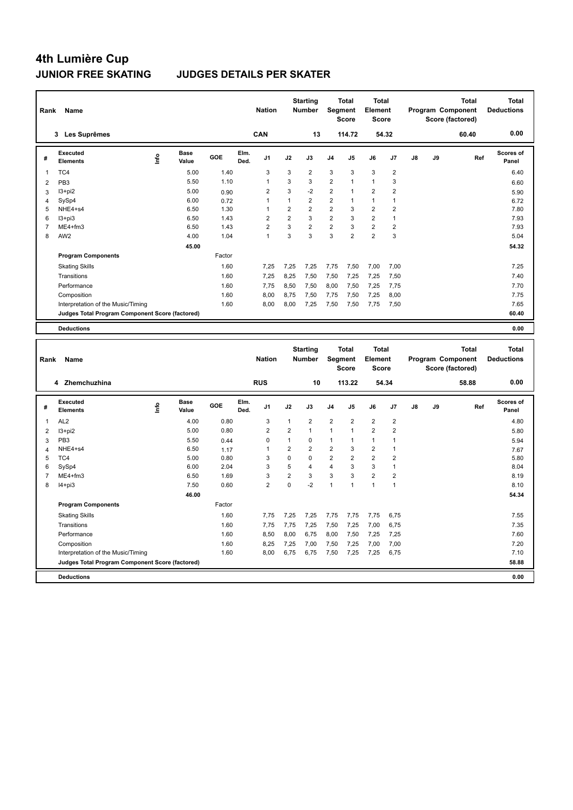### **JUNIOR FREE SKATING JUDGES DETAILS PER SKATER**

| Rank                | Name                                               |      |                      |              |              | <b>Nation</b>           |                | <b>Starting</b><br>Number | <b>Segment</b>          | <b>Total</b><br><b>Score</b> | <b>Total</b><br>Element<br><b>Score</b> |                |               |    | <b>Total</b><br>Program Component<br>Score (factored) | <b>Total</b><br><b>Deductions</b> |
|---------------------|----------------------------------------------------|------|----------------------|--------------|--------------|-------------------------|----------------|---------------------------|-------------------------|------------------------------|-----------------------------------------|----------------|---------------|----|-------------------------------------------------------|-----------------------------------|
|                     | 3 Les Suprêmes                                     |      |                      |              |              | CAN                     |                | 13                        |                         | 114.72                       |                                         | 54.32          |               |    | 60.40                                                 | 0.00                              |
| #                   | Executed<br><b>Elements</b>                        | ١nf٥ | <b>Base</b><br>Value | GOE          | Elm.<br>Ded. | J <sub>1</sub>          | J2             | J3                        | J4                      | J5                           | J6                                      | J <sub>7</sub> | $\mathsf{J}8$ | J9 | Ref                                                   | Scores of<br>Panel                |
| 1                   | TC4                                                |      | 5.00                 | 1.40         |              | 3                       | 3              | $\overline{2}$            | 3                       | 3                            | 3                                       | $\overline{2}$ |               |    |                                                       | 6.40                              |
| $\overline{2}$      | PB <sub>3</sub>                                    |      | 5.50                 | 1.10         |              | $\mathbf{1}$            | 3              | 3                         | $\overline{2}$          | 1                            | $\mathbf{1}$                            | 3              |               |    |                                                       | 6.60                              |
| 3                   | $13 + pi2$                                         |      | 5.00                 | 0.90         |              | 2                       | 3              | $-2$                      | 2                       | 1                            | $\overline{2}$                          | $\overline{2}$ |               |    |                                                       | 5.90                              |
| 4                   | SySp4                                              |      | 6.00                 | 0.72         |              | $\mathbf{1}$            | $\mathbf{1}$   | $\overline{2}$            | $\overline{\mathbf{c}}$ | 1                            | $\mathbf{1}$                            | $\overline{1}$ |               |    |                                                       | 6.72                              |
| 5                   | NHE4+s4                                            |      | 6.50                 | 1.30         |              | $\mathbf{1}$            | $\overline{2}$ | $\overline{\mathbf{c}}$   | $\overline{\mathbf{c}}$ | 3                            | $\overline{2}$                          | $\overline{2}$ |               |    |                                                       | 7.80                              |
| 6                   | $13 + pi3$                                         |      | 6.50                 | 1.43         |              | $\overline{\mathbf{c}}$ | $\overline{2}$ | 3                         | $\overline{2}$          | 3                            | $\overline{2}$                          | $\overline{1}$ |               |    |                                                       | 7.93                              |
| $\overline{7}$      | ME4+fm3                                            |      | 6.50                 | 1.43         |              | $\overline{2}$          | 3              | $\overline{2}$            | $\overline{2}$          | 3                            | $\overline{2}$                          | $\overline{2}$ |               |    |                                                       | 7.93                              |
| 8                   | AW2                                                |      | 4.00                 | 1.04         |              | $\mathbf{1}$            | 3              | 3                         | 3                       | $\overline{2}$               | $\overline{2}$                          | 3              |               |    |                                                       | 5.04                              |
|                     |                                                    |      | 45.00                |              |              |                         |                |                           |                         |                              |                                         |                |               |    |                                                       | 54.32                             |
|                     | <b>Program Components</b>                          |      |                      | Factor       |              |                         |                |                           |                         |                              |                                         |                |               |    |                                                       |                                   |
|                     | <b>Skating Skills</b>                              |      |                      | 1.60         |              | 7,25                    | 7,25           | 7,25                      | 7,75                    | 7,50                         | 7,00                                    | 7,00           |               |    |                                                       | 7.25                              |
|                     | Transitions                                        |      |                      | 1.60         |              | 7,25                    | 8,25           | 7,50                      | 7,50                    | 7,25                         | 7,25                                    | 7,50           |               |    |                                                       | 7.40                              |
|                     | Performance                                        |      |                      | 1.60         |              | 7,75                    | 8,50           | 7,50                      | 8,00                    | 7,50                         | 7,25                                    | 7,75           |               |    |                                                       | 7.70                              |
|                     | Composition                                        |      |                      | 1.60         |              | 8,00                    | 8,75           | 7,50                      | 7,75                    | 7,50                         | 7,25                                    | 8,00           |               |    |                                                       | 7.75                              |
|                     | Interpretation of the Music/Timing                 |      |                      | 1.60         |              | 8,00                    | 8,00           | 7,25                      | 7,50                    | 7,50                         | 7,75                                    | 7,50           |               |    |                                                       | 7.65                              |
|                     | Judges Total Program Component Score (factored)    |      |                      |              |              |                         |                |                           |                         |                              |                                         |                |               |    |                                                       | 60.40                             |
|                     |                                                    |      |                      |              |              |                         |                |                           |                         |                              |                                         |                |               |    |                                                       |                                   |
|                     | <b>Deductions</b>                                  |      |                      |              |              |                         |                |                           |                         |                              |                                         |                |               |    |                                                       | 0.00                              |
|                     |                                                    |      |                      |              |              |                         |                |                           |                         |                              |                                         |                |               |    |                                                       |                                   |
| Rank                | Name                                               |      |                      |              |              | <b>Nation</b>           |                | <b>Starting</b><br>Number | Segment                 | <b>Total</b>                 | <b>Total</b><br>Element                 |                |               |    | <b>Total</b><br>Program Component                     | <b>Total</b><br><b>Deductions</b> |
|                     |                                                    |      |                      |              |              |                         |                |                           |                         | <b>Score</b>                 | <b>Score</b>                            |                |               |    | Score (factored)                                      |                                   |
|                     | 4 Zhemchuzhina                                     |      |                      |              |              | <b>RUS</b>              |                | 10                        |                         | 113.22                       |                                         | 54.34          |               |    | 58.88                                                 | 0.00                              |
| #                   | <b>Executed</b><br><b>Elements</b>                 | ١nfo | <b>Base</b><br>Value | GOE          | Elm.<br>Ded. | J <sub>1</sub>          | J2             | J3                        | J4                      | J5                           | J6                                      | J7             | J8            | J9 | Ref                                                   | Scores of<br>Panel                |
| 1                   | AL <sub>2</sub>                                    |      | 4.00                 | 0.80         |              | 3                       | $\mathbf{1}$   | $\overline{2}$            | $\overline{2}$          | $\overline{2}$               | $\overline{2}$                          | $\sqrt{2}$     |               |    |                                                       | 4.80                              |
|                     |                                                    |      | 5.00                 | 0.80         |              | $\overline{2}$          | $\overline{2}$ | $\mathbf{1}$              | 1                       | $\mathbf{1}$                 | $\overline{\mathbf{c}}$                 | $\overline{2}$ |               |    |                                                       |                                   |
| $\overline{2}$      | $13 + pi2$<br>PB <sub>3</sub>                      |      | 5.50                 |              |              | 0                       | $\mathbf{1}$   | $\mathbf 0$               | 1                       | 1                            | $\mathbf{1}$                            | $\overline{1}$ |               |    |                                                       | 5.80                              |
| 3                   | NHE4+s4                                            |      | 6.50                 | 0.44         |              | $\overline{1}$          | $\overline{2}$ | $\overline{2}$            | $\overline{2}$          | 3                            | $\overline{2}$                          | $\overline{1}$ |               |    |                                                       | 5.94                              |
| $\overline{4}$<br>5 | TC4                                                |      | 5.00                 | 1.17<br>0.80 |              | 3                       | $\mathbf{0}$   | $\Omega$                  | $\overline{2}$          | $\overline{c}$               | $\overline{2}$                          | $\overline{2}$ |               |    |                                                       | 7.67<br>5.80                      |
| 6                   | SySp4                                              |      | 6.00                 | 2.04         |              | 3                       | 5              | 4                         | 4                       | 3                            | 3                                       | $\overline{1}$ |               |    |                                                       | 8.04                              |
| $\overline{7}$      | ME4+fm3                                            |      | 6.50                 | 1.69         |              | 3                       | $\overline{c}$ | 3                         | 3                       | 3                            | $\overline{2}$                          | $\overline{2}$ |               |    |                                                       | 8.19                              |
| 8                   | $I4 + pi3$                                         |      | 7.50                 | 0.60         |              | $\overline{2}$          | 0              | $-2$                      | 1                       | 1                            | 1                                       | $\overline{1}$ |               |    |                                                       | 8.10                              |
|                     |                                                    |      |                      |              |              |                         |                |                           |                         |                              |                                         |                |               |    |                                                       |                                   |
|                     |                                                    |      | 46.00                | Factor       |              |                         |                |                           |                         |                              |                                         |                |               |    |                                                       | 54.34                             |
|                     | <b>Program Components</b><br><b>Skating Skills</b> |      |                      | 1.60         |              | 7,75                    | 7,25           | 7,25                      | 7,75                    | 7,75                         | 7,75                                    | 6,75           |               |    |                                                       | 7.55                              |

Performance 1.60 8,50 8,00 6,75 8,00 7,50 7,25 7,25 7.60 Composition 1.60 8,25 7,25 7,00 7,50 7,25 7,00 7,00 7.50 7,20 7,20 Interpretation of the Music/Timing 1.60 8,00 6,75 6,75 7,50 7,25 7,25 6,75 7.10

**Deductions 0.00 Judges Total Program Component Score (factored) 58.88**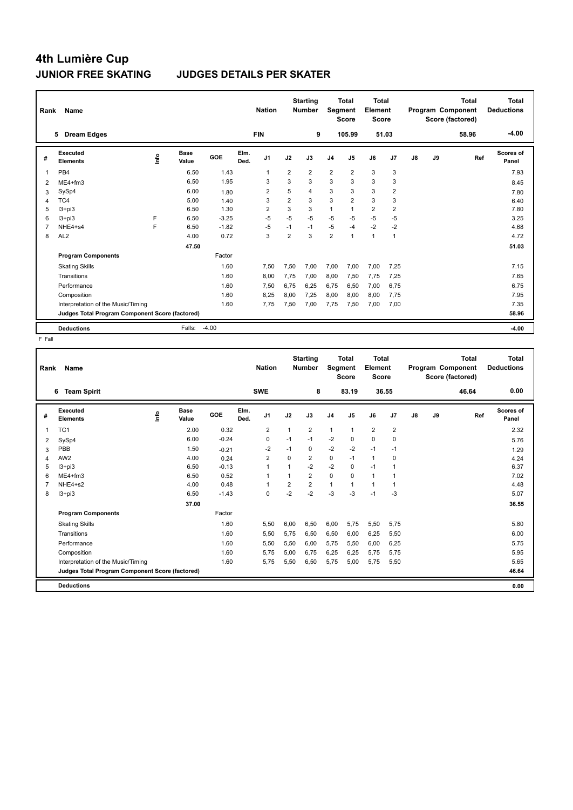### **4th Lumière Cup JUNIOR FREE SKATING JUDGES DETAILS PER SKATER**

| Rank           | Name                                            |    |                      |         |              | <b>Nation</b>  |                | <b>Starting</b><br><b>Number</b> | Segment        | <b>Total</b><br><b>Score</b> | <b>Total</b><br>Element<br><b>Score</b> |                         |    |    | <b>Total</b><br>Program Component<br>Score (factored) | <b>Total</b><br><b>Deductions</b> |
|----------------|-------------------------------------------------|----|----------------------|---------|--------------|----------------|----------------|----------------------------------|----------------|------------------------------|-----------------------------------------|-------------------------|----|----|-------------------------------------------------------|-----------------------------------|
|                | <b>Dream Edges</b><br>5                         |    |                      |         |              | <b>FIN</b>     |                | 9                                |                | 105.99                       | 51.03                                   |                         |    |    | 58.96                                                 | $-4.00$                           |
| #              | Executed<br><b>Elements</b>                     | ۴ů | <b>Base</b><br>Value | GOE     | Elm.<br>Ded. | J <sub>1</sub> | J2             | J3                               | J <sub>4</sub> | J5                           | J6                                      | J7                      | J8 | J9 | Ref                                                   | <b>Scores of</b><br>Panel         |
| 1              | PB <sub>4</sub>                                 |    | 6.50                 | 1.43    |              | $\overline{1}$ | $\overline{2}$ | $\overline{2}$                   | $\overline{2}$ | $\overline{2}$               | 3                                       | 3                       |    |    |                                                       | 7.93                              |
| $\overline{2}$ | ME4+fm3                                         |    | 6.50                 | 1.95    |              | 3              | 3              | 3                                | 3              | 3                            | 3                                       | 3                       |    |    |                                                       | 8.45                              |
| 3              | SySp4                                           |    | 6.00                 | 1.80    |              | $\overline{2}$ | 5              | $\overline{\mathbf{4}}$          | 3              | 3                            | 3                                       | $\overline{2}$          |    |    |                                                       | 7.80                              |
| 4              | TC4                                             |    | 5.00                 | 1.40    |              | 3              | $\overline{2}$ | 3                                | 3              | $\overline{2}$               | 3                                       | 3                       |    |    |                                                       | 6.40                              |
| 5              | $13 + pi3$                                      |    | 6.50                 | 1.30    |              | $\overline{2}$ | 3              | 3                                | 1              |                              | $\overline{2}$                          | $\overline{\mathbf{c}}$ |    |    |                                                       | 7.80                              |
| 6              | $13 + pi3$                                      | F  | 6.50                 | $-3.25$ |              | $-5$           | $-5$           | $-5$                             | $-5$           | $-5$                         | $-5$                                    | $-5$                    |    |    |                                                       | 3.25                              |
| $\overline{7}$ | NHE4+s4                                         | F  | 6.50                 | $-1.82$ |              | $-5$           | $-1$           | $-1$                             | $-5$           | $-4$                         | $-2$                                    | $-2$                    |    |    |                                                       | 4.68                              |
| 8              | AL <sub>2</sub>                                 |    | 4.00                 | 0.72    |              | 3              | $\overline{2}$ | 3                                | $\overline{2}$ | $\overline{1}$               | $\mathbf{1}$                            | $\mathbf{1}$            |    |    |                                                       | 4.72                              |
|                |                                                 |    | 47.50                |         |              |                |                |                                  |                |                              |                                         |                         |    |    |                                                       | 51.03                             |
|                | <b>Program Components</b>                       |    |                      | Factor  |              |                |                |                                  |                |                              |                                         |                         |    |    |                                                       |                                   |
|                | <b>Skating Skills</b>                           |    |                      | 1.60    |              | 7.50           | 7,50           | 7,00                             | 7,00           | 7,00                         | 7,00                                    | 7.25                    |    |    |                                                       | 7.15                              |
|                | Transitions                                     |    |                      | 1.60    |              | 8,00           | 7,75           | 7.00                             | 8,00           | 7.50                         | 7,75                                    | 7,25                    |    |    |                                                       | 7.65                              |
|                | Performance                                     |    |                      | 1.60    |              | 7,50           | 6,75           | 6.25                             | 6,75           | 6,50                         | 7,00                                    | 6,75                    |    |    |                                                       | 6.75                              |
|                | Composition                                     |    |                      | 1.60    |              | 8.25           | 8,00           | 7.25                             | 8,00           | 8.00                         | 8,00                                    | 7.75                    |    |    |                                                       | 7.95                              |
|                | Interpretation of the Music/Timing              |    |                      | 1.60    |              | 7,75           | 7,50           | 7,00                             | 7,75           | 7,50                         | 7,00                                    | 7,00                    |    |    |                                                       | 7.35                              |
|                | Judges Total Program Component Score (factored) |    |                      |         |              |                |                |                                  |                |                              |                                         |                         |    |    |                                                       | 58.96                             |
|                | <b>Deductions</b>                               |    | Falls:               | $-4.00$ |              |                |                |                                  |                |                              |                                         |                         |    |    |                                                       | $-4.00$                           |

| Rank | Name                                            |               |               |         |              | <b>Nation</b>  |          | <b>Starting</b><br><b>Number</b> | Segment        | <b>Total</b><br><b>Score</b> | <b>Total</b><br>Element<br><b>Score</b> |                |    |    | <b>Total</b><br>Program Component<br>Score (factored) | <b>Total</b><br><b>Deductions</b> |
|------|-------------------------------------------------|---------------|---------------|---------|--------------|----------------|----------|----------------------------------|----------------|------------------------------|-----------------------------------------|----------------|----|----|-------------------------------------------------------|-----------------------------------|
|      | <b>Team Spirit</b><br>6                         |               |               |         |              | <b>SWE</b>     |          | 8                                |                | 83.19                        |                                         | 36.55          |    |    | 46.64                                                 | 0.00                              |
| #    | Executed<br><b>Elements</b>                     | $\frac{6}{2}$ | Base<br>Value | GOE     | Elm.<br>Ded. | J <sub>1</sub> | J2       | J3                               | J <sub>4</sub> | J5                           | J6                                      | J <sub>7</sub> | J8 | J9 | Ref                                                   | Scores of<br>Panel                |
| 1    | TC <sub>1</sub>                                 |               | 2.00          | 0.32    |              | 2              | 1        | 2                                | $\mathbf{1}$   | $\mathbf{1}$                 | $\overline{2}$                          | $\overline{2}$ |    |    |                                                       | 2.32                              |
| 2    | SySp4                                           |               | 6.00          | $-0.24$ |              | 0              | $-1$     | $-1$                             | $-2$           | 0                            | 0                                       | 0              |    |    |                                                       | 5.76                              |
| 3    | PBB                                             |               | 1.50          | $-0.21$ |              | $-2$           | $-1$     | 0                                | $-2$           | $-2$                         | $-1$                                    | $-1$           |    |    |                                                       | 1.29                              |
| 4    | AW <sub>2</sub>                                 |               | 4.00          | 0.24    |              | 2              | $\Omega$ | 2                                | 0              | $-1$                         | $\mathbf{1}$                            | 0              |    |    |                                                       | 4.24                              |
| 5    | $13 + pi3$                                      |               | 6.50          | $-0.13$ |              | 1              | 1        | $-2$                             | $-2$           | $\mathbf 0$                  | $-1$                                    | 1              |    |    |                                                       | 6.37                              |
| 6    | $ME4 + fm3$                                     |               | 6.50          | 0.52    |              | 1              |          | $\overline{2}$                   | $\mathbf 0$    | $\Omega$                     | $\mathbf{1}$                            | 1              |    |    |                                                       | 7.02                              |
|      | NHE4+s2                                         |               | 4.00          | 0.48    |              | 1              | 2        | $\overline{2}$                   | $\mathbf{1}$   | 1                            | $\mathbf{1}$                            | -1             |    |    |                                                       | 4.48                              |
| 8    | $13 + pi3$                                      |               | 6.50          | $-1.43$ |              | 0              | $-2$     | $-2$                             | $-3$           | $-3$                         | $-1$                                    | $-3$           |    |    |                                                       | 5.07                              |
|      |                                                 |               | 37.00         |         |              |                |          |                                  |                |                              |                                         |                |    |    |                                                       | 36.55                             |
|      | <b>Program Components</b>                       |               |               | Factor  |              |                |          |                                  |                |                              |                                         |                |    |    |                                                       |                                   |
|      | <b>Skating Skills</b>                           |               |               | 1.60    |              | 5,50           | 6,00     | 6,50                             | 6,00           | 5,75                         | 5,50                                    | 5,75           |    |    |                                                       | 5.80                              |
|      | Transitions                                     |               |               | 1.60    |              | 5,50           | 5,75     | 6,50                             | 6,50           | 6,00                         | 6,25                                    | 5,50           |    |    |                                                       | 6.00                              |
|      | Performance                                     |               |               | 1.60    |              | 5,50           | 5,50     | 6,00                             | 5,75           | 5,50                         | 6,00                                    | 6,25           |    |    |                                                       | 5.75                              |
|      | Composition                                     |               |               | 1.60    |              | 5,75           | 5,00     | 6,75                             | 6,25           | 6,25                         | 5,75                                    | 5,75           |    |    |                                                       | 5.95                              |
|      | Interpretation of the Music/Timing              |               |               | 1.60    |              | 5,75           | 5,50     | 6,50                             | 5,75           | 5,00                         | 5,75                                    | 5,50           |    |    |                                                       | 5.65                              |
|      | Judges Total Program Component Score (factored) |               |               |         |              |                |          |                                  |                |                              |                                         |                |    |    |                                                       | 46.64                             |
|      | <b>Deductions</b>                               |               |               |         |              |                |          |                                  |                |                              |                                         |                |    |    |                                                       | 0.00                              |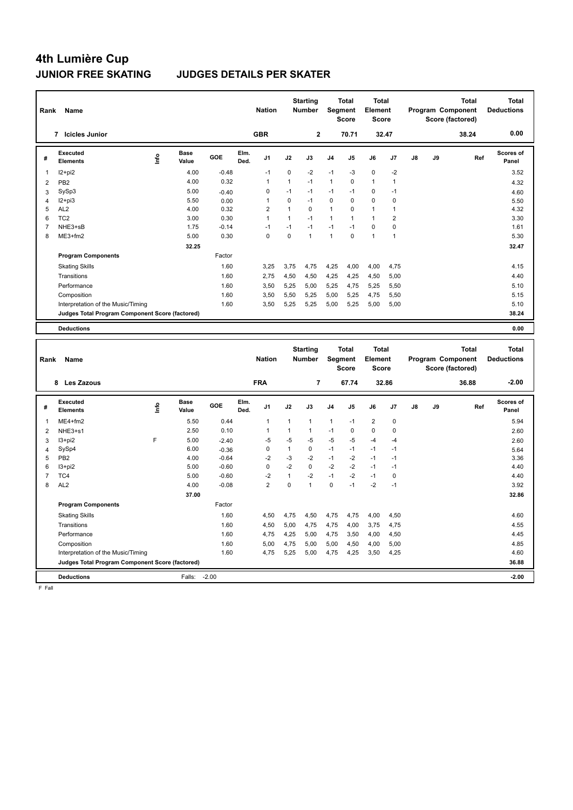### **JUNIOR FREE SKATING JUDGES DETAILS PER SKATER**

| Rank           | Name                                            |      |                      |         |              | <b>Nation</b>  |              | <b>Starting</b><br>Number        |              | <b>Total</b><br>Segment<br><b>Score</b> | <b>Total</b><br>Element<br><b>Score</b> |                |    |    | <b>Total</b><br>Program Component<br>Score (factored) | <b>Total</b><br><b>Deductions</b> |
|----------------|-------------------------------------------------|------|----------------------|---------|--------------|----------------|--------------|----------------------------------|--------------|-----------------------------------------|-----------------------------------------|----------------|----|----|-------------------------------------------------------|-----------------------------------|
|                | 7 Icicles Junior                                |      |                      |         |              | <b>GBR</b>     |              | 2                                |              | 70.71                                   |                                         | 32.47          |    |    | 38.24                                                 | 0.00                              |
| #              | <b>Executed</b><br><b>Elements</b>              | ١nf٥ | <b>Base</b><br>Value | GOE     | Elm.<br>Ded. | J <sub>1</sub> | J2           | J3                               | J4           | J5                                      | J6                                      | J7             | J8 | J9 | Ref                                                   | Scores of<br>Panel                |
| $\mathbf{1}$   | I2+pi2                                          |      | 4.00                 | $-0.48$ |              | $-1$           | 0            | $-2$                             | $-1$         | $-3$                                    | $\mathbf 0$                             | $-2$           |    |    |                                                       | 3.52                              |
| $\overline{2}$ | PB <sub>2</sub>                                 |      | 4.00                 | 0.32    |              | $\mathbf{1}$   | $\mathbf{1}$ | $-1$                             | $\mathbf{1}$ | $\mathbf 0$                             | $\mathbf{1}$                            | $\mathbf{1}$   |    |    |                                                       | 4.32                              |
| 3              | SySp3                                           |      | 5.00                 | $-0.40$ |              | 0              | $-1$         | $-1$                             | $-1$         | $-1$                                    | $\mathbf 0$                             | $-1$           |    |    |                                                       | 4.60                              |
| $\overline{4}$ | $12+pi3$                                        |      | 5.50                 | 0.00    |              | $\mathbf{1}$   | 0            | $-1$                             | 0            | $\mathbf 0$                             | $\mathbf 0$                             | $\pmb{0}$      |    |    |                                                       | 5.50                              |
| 5              | AL <sub>2</sub>                                 |      | 4.00                 | 0.32    |              | $\overline{2}$ | $\mathbf{1}$ | $\Omega$                         | 1            | $\Omega$                                | $\mathbf{1}$                            | $\mathbf{1}$   |    |    |                                                       | 4.32                              |
| 6              | TC <sub>2</sub>                                 |      | 3.00                 | 0.30    |              | 1              | $\mathbf{1}$ | $-1$                             | 1            | $\mathbf{1}$                            | $\mathbf{1}$                            | $\overline{2}$ |    |    |                                                       | 3.30                              |
| $\overline{7}$ | NHE3+sB                                         |      | 1.75                 | $-0.14$ |              | $-1$           | $-1$         | $-1$                             | $-1$         | $-1$                                    | $\mathbf 0$                             | $\mathbf 0$    |    |    |                                                       | 1.61                              |
| 8              | ME3+fm2                                         |      | 5.00                 | 0.30    |              | 0              | 0            | $\mathbf{1}$                     | 1            | $\mathbf 0$                             | $\mathbf{1}$                            | $\mathbf{1}$   |    |    |                                                       | 5.30                              |
|                |                                                 |      | 32.25                |         |              |                |              |                                  |              |                                         |                                         |                |    |    |                                                       | 32.47                             |
|                | <b>Program Components</b>                       |      |                      | Factor  |              |                |              |                                  |              |                                         |                                         |                |    |    |                                                       |                                   |
|                | <b>Skating Skills</b>                           |      |                      | 1.60    |              | 3,25           | 3,75         | 4,75                             | 4,25         | 4,00                                    | 4,00                                    | 4,75           |    |    |                                                       | 4.15                              |
|                | Transitions                                     |      |                      | 1.60    |              | 2,75           | 4,50         | 4,50                             | 4,25         | 4,25                                    | 4,50                                    | 5,00           |    |    |                                                       | 4.40                              |
|                | Performance                                     |      |                      | 1.60    |              | 3.50           | 5,25         | 5,00                             | 5,25         | 4,75                                    | 5,25                                    | 5,50           |    |    |                                                       | 5.10                              |
|                | Composition                                     |      |                      | 1.60    |              | 3,50           | 5,50         | 5,25                             | 5,00         | 5,25                                    | 4,75                                    | 5,50           |    |    |                                                       | 5.15                              |
|                | Interpretation of the Music/Timing              |      |                      | 1.60    |              | 3,50           | 5,25         | 5,25                             | 5,00         | 5,25                                    | 5,00                                    | 5,00           |    |    |                                                       | 5.10                              |
|                | Judges Total Program Component Score (factored) |      |                      |         |              |                |              |                                  |              |                                         |                                         |                |    |    |                                                       | 38.24                             |
|                |                                                 |      |                      |         |              |                |              |                                  |              |                                         |                                         |                |    |    |                                                       |                                   |
|                | <b>Deductions</b>                               |      |                      |         |              |                |              |                                  |              |                                         |                                         |                |    |    |                                                       | 0.00                              |
| Rank           | Name                                            |      |                      |         |              | <b>Nation</b>  |              | <b>Starting</b><br><b>Number</b> |              | Total<br>Segment<br><b>Score</b>        | <b>Total</b><br>Element<br><b>Score</b> |                |    |    | <b>Total</b><br>Program Component<br>Score (factored) | <b>Total</b><br><b>Deductions</b> |
|                | 8 Les Zazous                                    |      |                      |         |              | <b>FRA</b>     |              | $\overline{7}$                   |              | 67.74                                   |                                         | 32.86          |    |    | 36.88                                                 | $-2.00$                           |
| #              | <b>Executed</b><br><b>Elements</b>              | lnfo | <b>Base</b><br>Value | GOE     | Elm.<br>Ded. | J1             | J2           | J3                               | J4           | J5                                      | J6                                      | J <sub>7</sub> | J8 | J9 | Ref                                                   | Scores of<br>Panel                |
| $\mathbf{1}$   | $ME4 + fm2$                                     |      | 5.50                 | 0.44    |              | $\mathbf{1}$   | $\mathbf{1}$ | 1                                | 1            | $-1$                                    | $\overline{2}$                          | $\pmb{0}$      |    |    |                                                       | 5.94                              |
| $\overline{2}$ | NHE3+s1                                         |      | 2.50                 | 0.10    |              | 1              | $\mathbf{1}$ | $\mathbf{1}$                     | $-1$         | $\Omega$                                | $\mathbf{0}$                            | $\mathbf 0$    |    |    |                                                       | 2.60                              |
| 3              | $13 + pi2$                                      | F    | 5.00                 | $-2.40$ |              | $-5$           | $-5$         | $-5$                             | $-5$         | $-5$                                    | $-4$                                    | $-4$           |    |    |                                                       | 2.60                              |
| $\overline{4}$ | SySp4                                           |      | 6.00                 | $-0.36$ |              | 0              | $\mathbf{1}$ | $\Omega$                         | $-1$         | $-1$                                    | $-1$                                    | $-1$           |    |    |                                                       | 5.64                              |
| 5              | PB <sub>2</sub>                                 |      | 4.00                 | $-0.64$ |              | $-2$           | $-3$         | $-2$                             | $-1$         | $-2$                                    | $-1$                                    | $-1$           |    |    |                                                       | 3.36                              |
| 6              | I3+pi2                                          |      | 5.00                 | $-0.60$ |              | 0              | $-2$         | $\Omega$                         | $-2$         | $-2$                                    | $-1$                                    | $-1$           |    |    |                                                       | 4.40                              |
| $\overline{7}$ | TC4                                             |      | 5.00                 | $-0.60$ |              | $-2$           | $\mathbf{1}$ | $-2$                             | $-1$         | $-2$                                    | $-1$                                    | 0              |    |    |                                                       | 4.40                              |
| 8              | AL <sub>2</sub>                                 |      | 4.00                 | $-0.08$ |              | $\overline{2}$ | 0            | $\mathbf{1}$                     | 0            | $-1$                                    | $-2$                                    | $-1$           |    |    |                                                       | 3.92                              |
|                |                                                 |      | 37.00                |         |              |                |              |                                  |              |                                         |                                         |                |    |    |                                                       | 32.86                             |

**Deductions** Falls: -2.00 **-2.00**

**Program Components**  Skating Skills 4,50 4,75 4,50 4,75 4,75 4,00 4,50 1.60 4.60 Factor Transitions 1.60 4,50 5,00 4,75 4,75 4,00 3,75 4,75 4,75 4.55 4.55 Performance 2.60 1.60 4,75 4,25 5,00 4,75 3,50 4,00 4,50 4.45 Composition 1.60 5,00 4,75 5,00 5,00 4,50 4,00 5,00 4.85 Interpretation of the Music/Timing 1.60 4,75 5,25 5,00 4,75 4,25 3,50 4,25 4.60 **Judges Total Program Component Score (factored) 36.88**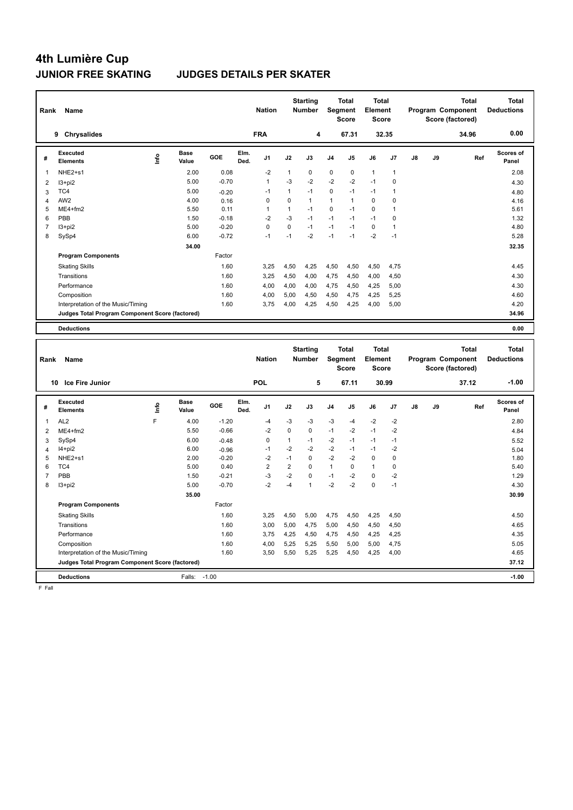### **JUNIOR FREE SKATING JUDGES DETAILS PER SKATER**

| Rank           | Name                                            |       |                      |         |              | <b>Nation</b>  |                         | <b>Starting</b><br><b>Number</b> |              | <b>Total</b><br>Segment<br><b>Score</b> | <b>Total</b><br>Element<br><b>Score</b> |                |               |    | <b>Total</b><br>Program Component<br>Score (factored) | <b>Total</b><br><b>Deductions</b> |
|----------------|-------------------------------------------------|-------|----------------------|---------|--------------|----------------|-------------------------|----------------------------------|--------------|-----------------------------------------|-----------------------------------------|----------------|---------------|----|-------------------------------------------------------|-----------------------------------|
|                | 9 Chrysalides                                   |       |                      |         |              | <b>FRA</b>     |                         | 4                                |              | 67.31                                   |                                         | 32.35          |               |    | 34.96                                                 | 0.00                              |
| #              | Executed<br>Elements                            | Linfo | <b>Base</b><br>Value | GOE     | Elm.<br>Ded. | J1             | J2                      | J3                               | J4           | J5                                      | J6                                      | J7             | $\mathsf{J}8$ | J9 | Ref                                                   | Scores of<br>Panel                |
| $\mathbf{1}$   | NHE2+s1                                         |       | 2.00                 | 0.08    |              | $-2$           | $\mathbf{1}$            | 0                                | 0            | 0                                       | $\mathbf{1}$                            | $\mathbf{1}$   |               |    |                                                       | 2.08                              |
| $\overline{2}$ | $13+pi2$                                        |       | 5.00                 | $-0.70$ |              | $\mathbf{1}$   | $-3$                    | $-2$                             | $-2$         | $-2$                                    | $-1$                                    | $\mathbf 0$    |               |    |                                                       | 4.30                              |
| 3              | TC4                                             |       | 5.00                 | $-0.20$ |              | $-1$           | $\mathbf{1}$            | $-1$                             | $\mathsf 0$  | $-1$                                    | $-1$                                    | $\overline{1}$ |               |    |                                                       | 4.80                              |
| $\overline{4}$ | AW <sub>2</sub>                                 |       | 4.00                 | 0.16    |              | 0              | 0                       | $\mathbf{1}$                     | 1            | $\mathbf{1}$                            | $\mathbf 0$                             | 0              |               |    |                                                       | 4.16                              |
| 5              | $ME4 + fm2$                                     |       | 5.50                 | 0.11    |              | $\mathbf{1}$   | 1                       | $-1$                             | 0            | $-1$                                    | $\Omega$                                | 1              |               |    |                                                       | 5.61                              |
| 6              | PBB                                             |       | 1.50                 | $-0.18$ |              | $-2$           | $-3$                    | $-1$                             | $-1$         | $-1$                                    | $-1$                                    | $\mathbf 0$    |               |    |                                                       | 1.32                              |
| $\overline{7}$ | $13 + pi2$                                      |       | 5.00                 | $-0.20$ |              | $\Omega$       | $\Omega$                | $-1$                             | $-1$         | $-1$                                    | $\mathbf 0$                             | $\mathbf{1}$   |               |    |                                                       | 4.80                              |
| 8              | SySp4                                           |       | 6.00                 | $-0.72$ |              | $-1$           | $-1$                    | $-2$                             | $-1$         | $-1$                                    | $-2$                                    | $-1$           |               |    |                                                       | 5.28                              |
|                |                                                 |       | 34.00                |         |              |                |                         |                                  |              |                                         |                                         |                |               |    |                                                       | 32.35                             |
|                | <b>Program Components</b>                       |       |                      | Factor  |              |                |                         |                                  |              |                                         |                                         |                |               |    |                                                       |                                   |
|                | <b>Skating Skills</b>                           |       |                      | 1.60    |              | 3,25           | 4,50                    | 4,25                             | 4,50         | 4,50                                    | 4,50                                    | 4,75           |               |    |                                                       | 4.45                              |
|                | Transitions                                     |       |                      | 1.60    |              | 3,25           | 4,50                    | 4,00                             | 4,75         | 4,50                                    | 4,00                                    | 4,50           |               |    |                                                       | 4.30                              |
|                | Performance                                     |       |                      | 1.60    |              | 4,00           | 4,00                    | 4,00                             | 4,75         | 4,50                                    | 4,25                                    | 5,00           |               |    |                                                       | 4.30                              |
|                | Composition                                     |       |                      | 1.60    |              | 4,00           | 5,00                    | 4,50                             | 4,50         | 4,75                                    | 4,25                                    | 5,25           |               |    |                                                       | 4.60                              |
|                | Interpretation of the Music/Timing              |       |                      | 1.60    |              | 3,75           | 4,00                    | 4,25                             | 4,50         | 4,25                                    | 4,00                                    | 5,00           |               |    |                                                       | 4.20                              |
|                | Judges Total Program Component Score (factored) |       |                      |         |              |                |                         |                                  |              |                                         |                                         |                |               |    |                                                       | 34.96                             |
|                |                                                 |       |                      |         |              |                |                         |                                  |              |                                         |                                         |                |               |    |                                                       |                                   |
|                | <b>Deductions</b>                               |       |                      |         |              |                |                         |                                  |              |                                         |                                         |                |               |    |                                                       | 0.00                              |
| Rank           | Name                                            |       |                      |         |              | <b>Nation</b>  |                         | <b>Starting</b><br><b>Number</b> |              | <b>Total</b><br>Segment<br><b>Score</b> | <b>Total</b><br>Element<br><b>Score</b> |                |               |    | <b>Total</b><br>Program Component<br>Score (factored) | <b>Total</b><br><b>Deductions</b> |
|                | 10 Ice Fire Junior                              |       |                      |         |              | <b>POL</b>     |                         | 5                                |              | 67.11                                   |                                         | 30.99          |               |    | 37.12                                                 | $-1.00$                           |
|                |                                                 |       |                      |         |              |                |                         |                                  |              |                                         |                                         |                |               |    |                                                       |                                   |
| #              | <b>Executed</b><br><b>Elements</b>              | ۴ů    | <b>Base</b><br>Value | GOE     | Elm.<br>Ded. | J1             | J2                      | J3                               | J4           | J5                                      | J6                                      | J7             | J8            | J9 | Ref                                                   | Scores of<br>Panel                |
| $\mathbf{1}$   | AL <sub>2</sub>                                 | F     | 4.00                 | $-1.20$ |              | $-4$           | $-3$                    | $-3$                             | $-3$         | $-4$                                    | $-2$                                    | $-2$           |               |    |                                                       | 2.80                              |
| $\overline{2}$ | ME4+fm2                                         |       | 5.50                 | $-0.66$ |              | $-2$           | $\mathbf 0$             | $\mathbf 0$                      | $-1$         | $-2$                                    | $-1$                                    | $-2$           |               |    |                                                       | 4.84                              |
| 3              | SySp4                                           |       | 6.00                 | $-0.48$ |              | 0              | $\mathbf{1}$            | $-1$                             | $-2$         | $-1$                                    | $-1$                                    | $-1$           |               |    |                                                       | 5.52                              |
| $\overline{4}$ | $14+pi2$                                        |       | 6.00                 | $-0.96$ |              | $-1$           | $-2$                    | -2                               | $-2$         | $-1$                                    | $-1$                                    | $-2$           |               |    |                                                       | 5.04                              |
| 5              | NHE2+s1                                         |       | 2.00                 | $-0.20$ |              | $-2$           | $-1$                    | $\mathbf 0$                      | $-2$         | $-2$                                    | $\mathbf 0$                             | $\mathbf 0$    |               |    |                                                       | 1.80                              |
| 6              | TC4                                             |       | 5.00                 | 0.40    |              | $\overline{2}$ | $\overline{\mathbf{c}}$ | $\mathbf 0$                      | $\mathbf{1}$ | 0                                       | $\mathbf{1}$                            | 0              |               |    |                                                       | 5.40                              |
| $\overline{7}$ | PBB                                             |       | 1.50                 | $-0.21$ |              | $-3$           | $-2$                    | $\mathbf 0$                      | $-1$         | $-2$                                    | $\mathbf 0$                             | $-2$           |               |    |                                                       | 1.29                              |
| 8              | $13 + pi2$                                      |       | 5.00                 | $-0.70$ |              | $-2$           | $-4$                    | $\overline{1}$                   | $-2$         | $-2$                                    | $\Omega$                                | $-1$           |               |    |                                                       | 4.30                              |
|                |                                                 |       | 35.00                |         |              |                |                         |                                  |              |                                         |                                         |                |               |    |                                                       | 30.99                             |
|                | <b>Program Components</b>                       |       |                      | Factor  |              |                |                         |                                  |              |                                         |                                         |                |               |    |                                                       |                                   |
|                | <b>Skating Skills</b>                           |       |                      | 1.60    |              | 3,25           | 4,50                    | 5,00                             | 4,75         | 4,50                                    | 4,25                                    | 4,50           |               |    |                                                       | 4.50                              |
|                | Transitions                                     |       |                      | 1.60    |              | 3.00           | 5.00                    | 4.75                             | 5,00         | 4.50                                    | 4,50                                    | 4.50           |               |    |                                                       | 4.65                              |

**Deductions** Falls: -1.00 **-1.00**

Performance 2.60 3,75 4,25 4,50 4,75 4,50 4,25 4,25 4.50 4.25 4.35 4.35 Composition 1.60 4,00 5,25 5,25 5,50 5,00 5,00 4,75 5.05 5.05 Interpretation of the Music/Timing 1.60 3,50 5,50 5,25 5,25 4,50 4,25 4,00 4.65 **Judges Total Program Component Score (factored) 37.12**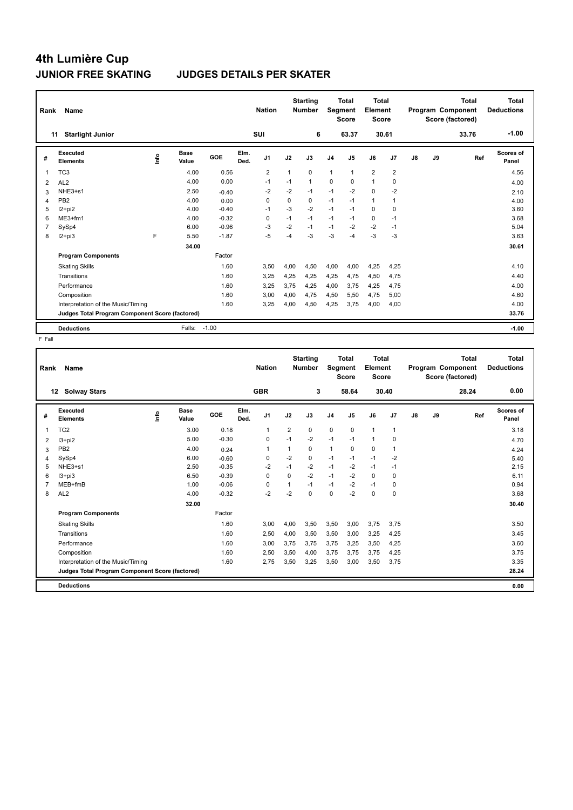### **JUNIOR FREE SKATING JUDGES DETAILS PER SKATER**

| Rank           | Name                                            |      |               |            |              | <b>Nation</b>  |          | <b>Starting</b><br><b>Number</b> | Segment        | Total<br><b>Score</b> | <b>Total</b><br>Element<br>Score |                |               |    | <b>Total</b><br>Program Component<br>Score (factored) | Total<br><b>Deductions</b> |
|----------------|-------------------------------------------------|------|---------------|------------|--------------|----------------|----------|----------------------------------|----------------|-----------------------|----------------------------------|----------------|---------------|----|-------------------------------------------------------|----------------------------|
|                | <b>Starlight Junior</b><br>11                   |      |               |            |              | <b>SUI</b>     |          | 6                                |                | 63.37                 |                                  | 30.61          |               |    | 33.76                                                 | $-1.00$                    |
| #              | Executed<br><b>Elements</b>                     | lnfo | Base<br>Value | <b>GOE</b> | Elm.<br>Ded. | J <sub>1</sub> | J2       | J3                               | J <sub>4</sub> | J <sub>5</sub>        | J6                               | J <sub>7</sub> | $\mathsf{J}8$ | J9 | Ref                                                   | Scores of<br>Panel         |
| 1              | TC <sub>3</sub>                                 |      | 4.00          | 0.56       |              | $\overline{2}$ |          | $\Omega$                         | 1              | $\mathbf{1}$          | $\overline{2}$                   | $\overline{2}$ |               |    |                                                       | 4.56                       |
| 2              | AL <sub>2</sub>                                 |      | 4.00          | 0.00       |              | $-1$           | $-1$     | $\mathbf{1}$                     | $\mathbf 0$    | 0                     | $\mathbf{1}$                     | 0              |               |    |                                                       | 4.00                       |
| 3              | NHE3+s1                                         |      | 2.50          | $-0.40$    |              | $-2$           | $-2$     | $-1$                             | $-1$           | $-2$                  | $\Omega$                         | $-2$           |               |    |                                                       | 2.10                       |
| 4              | PB <sub>2</sub>                                 |      | 4.00          | 0.00       |              | 0              | $\Omega$ | 0                                | $-1$           | $-1$                  | $\mathbf{1}$                     | $\overline{1}$ |               |    |                                                       | 4.00                       |
| 5              | $12+pi2$                                        |      | 4.00          | $-0.40$    |              | $-1$           | $-3$     | $-2$                             | $-1$           | $-1$                  | $\Omega$                         | 0              |               |    |                                                       | 3.60                       |
| 6              | $ME3+fm1$                                       |      | 4.00          | $-0.32$    |              | $\Omega$       | $-1$     | $-1$                             | $-1$           | $-1$                  | $\Omega$                         | $-1$           |               |    |                                                       | 3.68                       |
| $\overline{7}$ | SySp4                                           |      | 6.00          | $-0.96$    |              | -3             | $-2$     | $-1$                             | $-1$           | $-2$                  | $-2$                             | $-1$           |               |    |                                                       | 5.04                       |
| 8              | $12+pi3$                                        | F    | 5.50          | $-1.87$    |              | $-5$           | -4       | $-3$                             | $-3$           | -4                    | $-3$                             | $-3$           |               |    |                                                       | 3.63                       |
|                |                                                 |      | 34.00         |            |              |                |          |                                  |                |                       |                                  |                |               |    |                                                       | 30.61                      |
|                | <b>Program Components</b>                       |      |               | Factor     |              |                |          |                                  |                |                       |                                  |                |               |    |                                                       |                            |
|                | <b>Skating Skills</b>                           |      |               | 1.60       |              | 3.50           | 4,00     | 4.50                             | 4,00           | 4.00                  | 4,25                             | 4.25           |               |    |                                                       | 4.10                       |
|                | Transitions                                     |      |               | 1.60       |              | 3.25           | 4,25     | 4.25                             | 4.25           | 4,75                  | 4,50                             | 4,75           |               |    |                                                       | 4.40                       |
|                | Performance                                     |      |               | 1.60       |              | 3.25           | 3.75     | 4.25                             | 4.00           | 3.75                  | 4,25                             | 4.75           |               |    |                                                       | 4.00                       |
|                | Composition                                     |      |               | 1.60       |              | 3,00           | 4,00     | 4,75                             | 4,50           | 5,50                  | 4,75                             | 5,00           |               |    |                                                       | 4.60                       |
|                | Interpretation of the Music/Timing              |      |               | 1.60       |              | 3.25           | 4,00     | 4,50                             | 4,25           | 3.75                  | 4,00                             | 4,00           |               |    |                                                       | 4.00                       |
|                | Judges Total Program Component Score (factored) |      |               |            |              |                |          |                                  |                |                       |                                  |                |               |    |                                                       | 33.76                      |
|                | <b>Deductions</b>                               |      | Falls:        | $-1.00$    |              |                |          |                                  |                |                       |                                  |                |               |    |                                                       | $-1.00$                    |

| Rank | <b>Name</b>                                     |      |               |         |              | <b>Nation</b>  |                | <b>Starting</b><br><b>Number</b> | Segment        | <b>Total</b><br><b>Score</b> | <b>Total</b><br>Element<br><b>Score</b> |              |    |    | <b>Total</b><br>Program Component<br>Score (factored) | <b>Total</b><br><b>Deductions</b> |
|------|-------------------------------------------------|------|---------------|---------|--------------|----------------|----------------|----------------------------------|----------------|------------------------------|-----------------------------------------|--------------|----|----|-------------------------------------------------------|-----------------------------------|
| 12   | <b>Solway Stars</b>                             |      |               |         |              | <b>GBR</b>     |                | 3                                |                | 58.64                        |                                         | 30.40        |    |    | 28.24                                                 | 0.00                              |
| #    | Executed<br><b>Elements</b>                     | ١nf٥ | Base<br>Value | GOE     | Elm.<br>Ded. | J <sub>1</sub> | J2             | J3                               | J <sub>4</sub> | J5                           | J6                                      | J7           | J8 | J9 | Ref                                                   | Scores of<br>Panel                |
| 1    | TC <sub>2</sub>                                 |      | 3.00          | 0.18    |              | 1              | $\overline{2}$ | 0                                | $\mathbf 0$    | $\mathbf 0$                  | $\mathbf{1}$                            | $\mathbf{1}$ |    |    |                                                       | 3.18                              |
| 2    | I3+pi2                                          |      | 5.00          | $-0.30$ |              | 0              | $-1$           | $-2$                             | $-1$           | $-1$                         | $\mathbf{1}$                            | 0            |    |    |                                                       | 4.70                              |
| 3    | PB <sub>2</sub>                                 |      | 4.00          | 0.24    |              | -1             | 1              | 0                                | $\mathbf{1}$   | $\Omega$                     | $\mathbf 0$                             | 1            |    |    |                                                       | 4.24                              |
| 4    | SySp4                                           |      | 6.00          | $-0.60$ |              | 0              | $-2$           | 0                                | $-1$           | $-1$                         | $-1$                                    | $-2$         |    |    |                                                       | 5.40                              |
| 5    | NHE3+s1                                         |      | 2.50          | $-0.35$ |              | $-2$           | $-1$           | $-2$                             | $-1$           | $-2$                         | $-1$                                    | $-1$         |    |    |                                                       | 2.15                              |
| 6    | $13 + pi3$                                      |      | 6.50          | $-0.39$ |              | $\Omega$       | $\Omega$       | $-2$                             | $-1$           | $-2$                         | $\Omega$                                | 0            |    |    |                                                       | 6.11                              |
|      | MEB+fmB                                         |      | 1.00          | $-0.06$ |              | 0              | 1              | $-1$                             | $-1$           | $-2$                         | $-1$                                    | 0            |    |    |                                                       | 0.94                              |
| 8    | AL <sub>2</sub>                                 |      | 4.00          | $-0.32$ |              | $-2$           | $-2$           | 0                                | 0              | -2                           | $\mathbf 0$                             | 0            |    |    |                                                       | 3.68                              |
|      |                                                 |      | 32.00         |         |              |                |                |                                  |                |                              |                                         |              |    |    |                                                       | 30.40                             |
|      | <b>Program Components</b>                       |      |               | Factor  |              |                |                |                                  |                |                              |                                         |              |    |    |                                                       |                                   |
|      | <b>Skating Skills</b>                           |      |               | 1.60    |              | 3,00           | 4,00           | 3,50                             | 3,50           | 3,00                         | 3,75                                    | 3,75         |    |    |                                                       | 3.50                              |
|      | Transitions                                     |      |               | 1.60    |              | 2,50           | 4,00           | 3,50                             | 3,50           | 3,00                         | 3,25                                    | 4,25         |    |    |                                                       | 3.45                              |
|      | Performance                                     |      |               | 1.60    |              | 3,00           | 3,75           | 3,75                             | 3,75           | 3,25                         | 3,50                                    | 4,25         |    |    |                                                       | 3.60                              |
|      | Composition                                     |      |               | 1.60    |              | 2,50           | 3,50           | 4,00                             | 3,75           | 3,75                         | 3,75                                    | 4,25         |    |    |                                                       | 3.75                              |
|      | Interpretation of the Music/Timing              |      |               | 1.60    |              | 2,75           | 3,50           | 3,25                             | 3,50           | 3,00                         | 3,50                                    | 3.75         |    |    |                                                       | 3.35                              |
|      | Judges Total Program Component Score (factored) |      |               |         |              |                |                |                                  |                |                              |                                         |              |    |    |                                                       | 28.24                             |
|      | <b>Deductions</b>                               |      |               |         |              |                |                |                                  |                |                              |                                         |              |    |    |                                                       | 0.00                              |